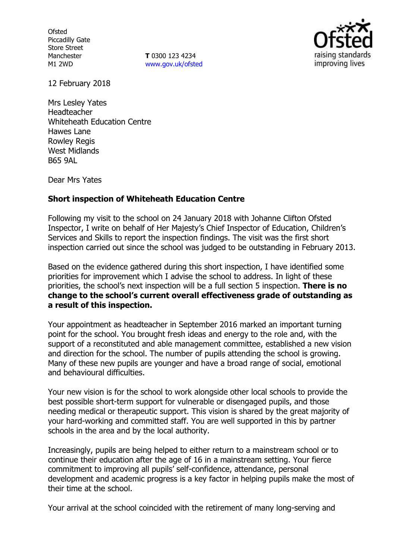**Ofsted** Piccadilly Gate Store Street Manchester M1 2WD

**T** 0300 123 4234 www.gov.uk/ofsted



12 February 2018

Mrs Lesley Yates Headteacher Whiteheath Education Centre Hawes Lane Rowley Regis West Midlands B65 9AL

Dear Mrs Yates

## **Short inspection of Whiteheath Education Centre**

Following my visit to the school on 24 January 2018 with Johanne Clifton Ofsted Inspector, I write on behalf of Her Majesty's Chief Inspector of Education, Children's Services and Skills to report the inspection findings. The visit was the first short inspection carried out since the school was judged to be outstanding in February 2013.

Based on the evidence gathered during this short inspection, I have identified some priorities for improvement which I advise the school to address. In light of these priorities, the school's next inspection will be a full section 5 inspection. **There is no change to the school's current overall effectiveness grade of outstanding as a result of this inspection.**

Your appointment as headteacher in September 2016 marked an important turning point for the school. You brought fresh ideas and energy to the role and, with the support of a reconstituted and able management committee, established a new vision and direction for the school. The number of pupils attending the school is growing. Many of these new pupils are younger and have a broad range of social, emotional and behavioural difficulties.

Your new vision is for the school to work alongside other local schools to provide the best possible short-term support for vulnerable or disengaged pupils, and those needing medical or therapeutic support. This vision is shared by the great majority of your hard-working and committed staff. You are well supported in this by partner schools in the area and by the local authority.

Increasingly, pupils are being helped to either return to a mainstream school or to continue their education after the age of 16 in a mainstream setting. Your fierce commitment to improving all pupils' self-confidence, attendance, personal development and academic progress is a key factor in helping pupils make the most of their time at the school.

Your arrival at the school coincided with the retirement of many long-serving and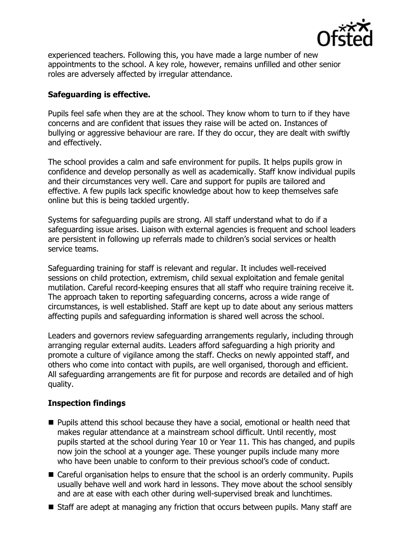

experienced teachers. Following this, you have made a large number of new appointments to the school. A key role, however, remains unfilled and other senior roles are adversely affected by irregular attendance.

# **Safeguarding is effective.**

Pupils feel safe when they are at the school. They know whom to turn to if they have concerns and are confident that issues they raise will be acted on. Instances of bullying or aggressive behaviour are rare. If they do occur, they are dealt with swiftly and effectively.

The school provides a calm and safe environment for pupils. It helps pupils grow in confidence and develop personally as well as academically. Staff know individual pupils and their circumstances very well. Care and support for pupils are tailored and effective. A few pupils lack specific knowledge about how to keep themselves safe online but this is being tackled urgently.

Systems for safeguarding pupils are strong. All staff understand what to do if a safeguarding issue arises. Liaison with external agencies is frequent and school leaders are persistent in following up referrals made to children's social services or health service teams.

Safeguarding training for staff is relevant and regular. It includes well-received sessions on child protection, extremism, child sexual exploitation and female genital mutilation. Careful record-keeping ensures that all staff who require training receive it. The approach taken to reporting safeguarding concerns, across a wide range of circumstances, is well established. Staff are kept up to date about any serious matters affecting pupils and safeguarding information is shared well across the school.

Leaders and governors review safeguarding arrangements regularly, including through arranging regular external audits. Leaders afford safeguarding a high priority and promote a culture of vigilance among the staff. Checks on newly appointed staff, and others who come into contact with pupils, are well organised, thorough and efficient. All safeguarding arrangements are fit for purpose and records are detailed and of high quality.

# **Inspection findings**

- **Pupils attend this school because they have a social, emotional or health need that** makes regular attendance at a mainstream school difficult. Until recently, most pupils started at the school during Year 10 or Year 11. This has changed, and pupils now join the school at a younger age. These younger pupils include many more who have been unable to conform to their previous school's code of conduct.
- Careful organisation helps to ensure that the school is an orderly community. Pupils usually behave well and work hard in lessons. They move about the school sensibly and are at ease with each other during well-supervised break and lunchtimes.
- Staff are adept at managing any friction that occurs between pupils. Many staff are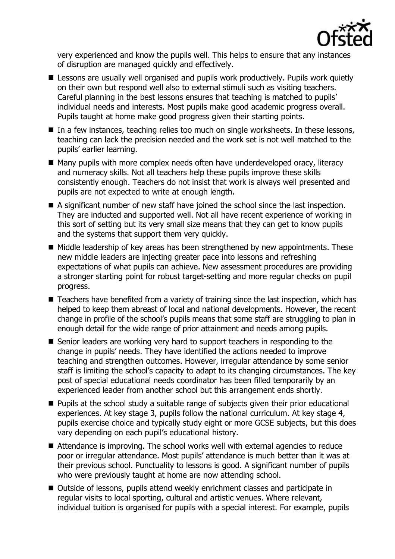

very experienced and know the pupils well. This helps to ensure that any instances of disruption are managed quickly and effectively.

- E Lessons are usually well organised and pupils work productively. Pupils work quietly on their own but respond well also to external stimuli such as visiting teachers. Careful planning in the best lessons ensures that teaching is matched to pupils' individual needs and interests. Most pupils make good academic progress overall. Pupils taught at home make good progress given their starting points.
- In a few instances, teaching relies too much on single worksheets. In these lessons, teaching can lack the precision needed and the work set is not well matched to the pupils' earlier learning.
- Many pupils with more complex needs often have underdeveloped oracy, literacy and numeracy skills. Not all teachers help these pupils improve these skills consistently enough. Teachers do not insist that work is always well presented and pupils are not expected to write at enough length.
- A significant number of new staff have joined the school since the last inspection. They are inducted and supported well. Not all have recent experience of working in this sort of setting but its very small size means that they can get to know pupils and the systems that support them very quickly.
- $\blacksquare$  Middle leadership of key areas has been strengthened by new appointments. These new middle leaders are injecting greater pace into lessons and refreshing expectations of what pupils can achieve. New assessment procedures are providing a stronger starting point for robust target-setting and more regular checks on pupil progress.
- Teachers have benefited from a variety of training since the last inspection, which has helped to keep them abreast of local and national developments. However, the recent change in profile of the school's pupils means that some staff are struggling to plan in enough detail for the wide range of prior attainment and needs among pupils.
- Senior leaders are working very hard to support teachers in responding to the change in pupils' needs. They have identified the actions needed to improve teaching and strengthen outcomes. However, irregular attendance by some senior staff is limiting the school's capacity to adapt to its changing circumstances. The key post of special educational needs coordinator has been filled temporarily by an experienced leader from another school but this arrangement ends shortly.
- **Pupils at the school study a suitable range of subjects given their prior educational** experiences. At key stage 3, pupils follow the national curriculum. At key stage 4, pupils exercise choice and typically study eight or more GCSE subjects, but this does vary depending on each pupil's educational history.
- Attendance is improving. The school works well with external agencies to reduce poor or irregular attendance. Most pupils' attendance is much better than it was at their previous school. Punctuality to lessons is good. A significant number of pupils who were previously taught at home are now attending school.
- Outside of lessons, pupils attend weekly enrichment classes and participate in regular visits to local sporting, cultural and artistic venues. Where relevant, individual tuition is organised for pupils with a special interest. For example, pupils